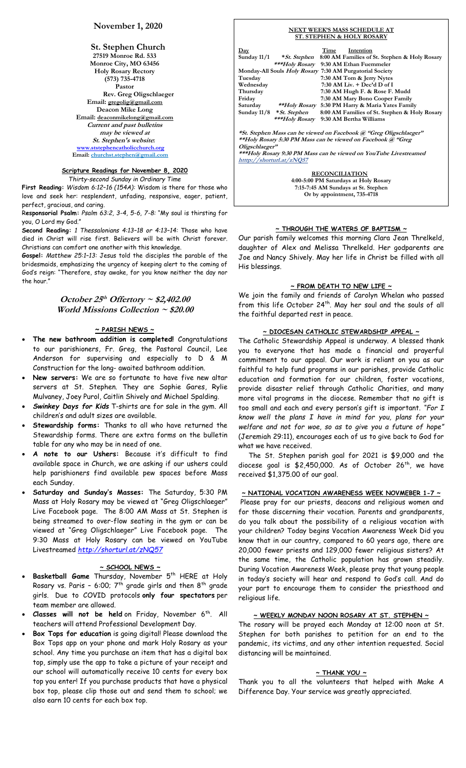# **November 1, 2020**

**St. Stephen Church 27519 Monroe Rd. 533 Monroe City, MO 63456 Holy Rosary Rectory (573) 735-4718 Pastor Rev. Greg Oligschlaeger Email: gregolig@gmail.com Deacon Mike Long Email: deaconmikelong@gmail.com Current and past bulletins may be viewed at St. Stephen's website: [www.ststephencatholicchurch.org](http://www.ststephencatholicchurch.org/) Email: [churchst.stephen@gmail.com](mailto:churchst.stephen@gmail.com)**

# **Scripture Readings for November 8, 2020**

*Thirty-second Sunday in Ordinary Time*

**First Reading:** *Wisdom 6:12–16 (154A):* Wisdom is there for those who love and seek her: resplendent, unfading, responsive, eager, patient, perfect, gracious, and caring.

R**esponsorial Psalm:** *Psalm 63:2, 3-4, 5-6, 7-8:* "My soul is thirsting for you, O Lord my God."

**Second Reading:** *1 Thessalonians 4:13–18 or 4:13–14:* Those who have died in Christ will rise first. Believers will be with Christ forever. Christians can comfort one another with this knowledge.

**Gospel:** *Matthew 25:1–13:* Jesus told the disciples the parable of the bridesmaids, emphasizing the urgency of keeping alert to the coming of God's reign: "Therefore, stay awake, for you know neither the day nor the hour."

# **October 25 th Offertory ~ \$2,402.00 World Missions Collection ~ \$20.00**

#### **~ PARISH NEWS ~**

- **The new bathroom addition is completed!** Congratulations to our parishioners, Fr. Greg, the Pastoral Council, Lee Anderson for supervising and especially to D & M Construction for the long- awaited bathroom addition.
- **New servers:** We are so fortunate to have five new altar servers at St. Stephen. They are Sophie Gares, Rylie Mulvaney, Joey Purol, Caitlin Shively and Michael Spalding.
- *Swinkey Days for Kids* T-shirts are for sale in the gym. All children's and adult sizes are available.
- **Stewardship forms:** Thanks to all who have returned the Stewardship forms. There are extra forms on the bulletin table for any who may be in need of one.
- **A note to our Ushers:** Because it's difficult to find available space in Church, we are asking if our ushers could help parishioners find available pew spaces before Mass each Sunday.
- **Saturday and Sunday's Masses:** The Saturday, 5:30 PM Mass at Holy Rosary may be viewed at "Greg Oligschlaeger" Live Facebook page. The 8:00 AM Mass at St. Stephen is being streamed to over-flow seating in the gym or can be viewed at "Greg Oligschlaeger" Live Facebook page. The 9:30 Mass at Holy Rosary can be viewed on YouTube Livestreamed *<http://shorturl.at/zNQ57>*

#### **~ SCHOOL NEWS ~**

- Basketball Game Thursday, November 5<sup>th</sup> HERE at Holy Rosary vs. Paris - 6:00;  $7^{\text{th}}$  grade girls and then  $8^{\text{th}}$  grade girls. Due to COVID protocols **only four spectators** per team member are allowed.
- **Classes will not be held** on Friday, November 6 th . All teachers will attend Professional Development Day.
- **Box Tops for education** is going digital! Please download the Box Tops app on your phone and mark Holy Rosary as your school. Any time you purchase an item that has a digital box top, simply use the app to take a picture of your receipt and our school will automatically receive 10 cents for every box top you enter! If you purchase products that have a physical box top, please clip those out and send them to school; we also earn 10 cents for each box top.

| <b>NEXT WEEK'S MASS SCHEDULE AT</b>                               |                                        |             |                                                                    |  |  |
|-------------------------------------------------------------------|----------------------------------------|-------------|--------------------------------------------------------------------|--|--|
|                                                                   | <b>ST. STEPHEN &amp; HOLY ROSARY</b>   |             |                                                                    |  |  |
|                                                                   |                                        |             |                                                                    |  |  |
| $_{\rm{Day}}$                                                     |                                        | <b>Time</b> | Intention                                                          |  |  |
| Sunday $11/1$                                                     |                                        |             | <i>*St. Stephen</i> 8:00 AM Families of St. Stephen & Holy Rosary  |  |  |
|                                                                   |                                        |             | ***Holy Rosary 9:30 AM Ethan Fuemmeler                             |  |  |
|                                                                   |                                        |             | Monday-All Souls Holy Rosary 7:30 AM Purgatorial Society           |  |  |
| Tuesday                                                           |                                        |             | 7:30 AM Tom & Jerry Nytes                                          |  |  |
| Wednesday                                                         |                                        |             | $7:30$ AM Liv. $+$ Dec'd D of I                                    |  |  |
| Thursday                                                          |                                        |             | 7:30 AM Hugh F. & Rose F. Mudd                                     |  |  |
| Friday                                                            |                                        |             | 7:30 AM Mary Bono Cooper Family                                    |  |  |
|                                                                   | Saturday **Holy Rosary                 |             | 5:30 PM Harry & Maria Yates Family                                 |  |  |
|                                                                   | Sunday 11/8 * St. Stephen              |             | 8:00 AM Families of St. Stephen & Holy Rosary                      |  |  |
|                                                                   | ***Holy Rosary 9:30 AM Bertha Williams |             |                                                                    |  |  |
|                                                                   |                                        |             |                                                                    |  |  |
|                                                                   |                                        |             | *St. Stephen Mass can be viewed on Facebook @ "Greg Oligschlaeger" |  |  |
| **Holy Rosary 5:30 PM Mass can be viewed on Facebook @ "Greg      |                                        |             |                                                                    |  |  |
| Oligschlaeger"                                                    |                                        |             |                                                                    |  |  |
| ***Holy Rosary 9:30 PM Mass can be viewed on YouTube Livestreamed |                                        |             |                                                                    |  |  |
| htttp://shorturl.at/zNQ57                                         |                                        |             |                                                                    |  |  |
| <b>RECONCILIATION</b>                                             |                                        |             |                                                                    |  |  |
| 4:00-5:00 PM Saturdays at Holy Rosary                             |                                        |             |                                                                    |  |  |
| 7:15-7:45 AM Sundays at St. Stephen                               |                                        |             |                                                                    |  |  |

#### **~ THROUGH THE WATERS OF BAPTISM ~**

**Or by appointment, 735-4718**

Our parish family welcomes this morning Clara Jean Threlkeld, daughter of Alex and Melissa Threlkeld. Her godparents are Joe and Nancy Shively. May her life in Christ be filled with all His blessings.

# **~ FROM DEATH TO NEW LIFE ~**

We join the family and friends of Carolyn Whelan who passed from this life October 24<sup>th</sup>. May her soul and the souls of all the faithful departed rest in peace.

#### **~ DIOCESAN CATHOLIC STEWARDSHIP APPEAL ~**

The Catholic Stewardship Appeal is underway. A blessed thank you to everyone that has made a financial and prayerful commitment to our appeal. Our work is reliant on you as our faithful to help fund programs in our parishes, provide Catholic education and formation for our children, foster vocations, provide disaster relief through Catholic Charities, and many more vital programs in the diocese. Remember that no gift is too small and each and every person's gift is important. *"For I know well the plans I have in mind for you, plans for your welfare and not for woe, so as to give you a future of hope"* (Jeremiah 29:11), encourages each of us to give back to God for what we have received.

 The St. Stephen parish goal for 2021 is \$9,000 and the diocese goal is  $$2,450,000$ . As of October  $26<sup>th</sup>$ , we have received \$1,375.00 of our goal.

**~ NATIONAL VOCATION AWARENESS WEEK NOVMEBER 1-7 ~** Please pray for our priests, deacons and religious women and for those discerning their vocation. Parents and grandparents, do you talk about the possibility of a religious vocation with your children? Today begins Vocation Awareness Week Did you know that in our country, compared to 60 years ago, there are 20,000 fewer priests and 129,000 fewer religious sisters? At the same time, the Catholic population has grown steadily. During Vocation Awareness Week, please pray that young people in today's society will hear and respond to God's call. And do your part to encourage them to consider the priesthood and religious life.

#### **~ WEEKLY MONDAY NOON ROSARY AT ST. STEPHEN ~**

The rosary will be prayed each Monday at 12:00 noon at St. Stephen for both parishes to petition for an end to the pandemic, its victims, and any other intention requested. Social distancing will be maintained.

# **~ THANK YOU ~**

Thank you to all the volunteers that helped with Make A Difference Day. Your service was greatly appreciated.